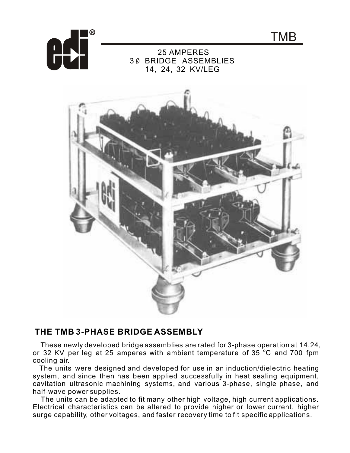

## 25 AMPERES 3 BRIDGE ASSEMBLIES 14, 24, 32 KV/LEG

TMB



## THE TMB 3-PHASE BRIDGE ASSEMBLY

These newly developed bridge assemblies are rated for 3-phase operation at 14,24, or 32 KV per leg at 25 amperes with ambient temperature of 35 °C and 700 fpm cooling air.

The units were designed and developed for use in an induction/dielectric heating system, and since then has been applied successfully in heat sealing equipment, cavitation ultrasonic machining systems, and various 3-phase, single phase, and half-wave power supplies.

The units can be adapted to fit many other high voltage, high current applications. Electrical characteristics can be altered to provide higher or lower current, higher surge capability, other voltages, and faster recovery time to fit specific applications.